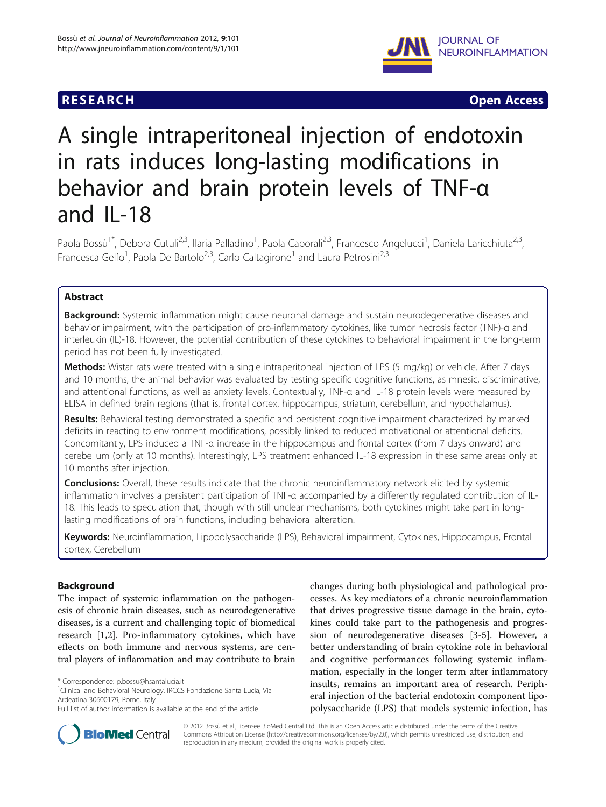# **RESEARCH CHINESE ARCH CHINESE ARCH CHINESE ARCH <b>CHINESE ARCH**



# A single intraperitoneal injection of endotoxin in rats induces long-lasting modifications in behavior and brain protein levels of TNF-α and IL-18

Paola Bossù<sup>1\*</sup>, Debora Cutuli<sup>2,3</sup>, Ilaria Palladino<sup>1</sup>, Paola Caporali<sup>2,3</sup>, Francesco Angelucci<sup>1</sup>, Daniela Laricchiuta<sup>2,3</sup>, Francesca Gelfo<sup>1</sup>, Paola De Bartolo<sup>2,3</sup>, Carlo Caltagirone<sup>1</sup> and Laura Petrosini<sup>2,3</sup>

# Abstract

Background: Systemic inflammation might cause neuronal damage and sustain neurodegenerative diseases and behavior impairment, with the participation of pro-inflammatory cytokines, like tumor necrosis factor (TNF)-α and interleukin (IL)-18. However, the potential contribution of these cytokines to behavioral impairment in the long-term period has not been fully investigated.

Methods: Wistar rats were treated with a single intraperitoneal injection of LPS (5 mg/kg) or vehicle. After 7 days and 10 months, the animal behavior was evaluated by testing specific cognitive functions, as mnesic, discriminative, and attentional functions, as well as anxiety levels. Contextually, TNF-α and IL-18 protein levels were measured by ELISA in defined brain regions (that is, frontal cortex, hippocampus, striatum, cerebellum, and hypothalamus).

Results: Behavioral testing demonstrated a specific and persistent cognitive impairment characterized by marked deficits in reacting to environment modifications, possibly linked to reduced motivational or attentional deficits. Concomitantly, LPS induced a TNF-α increase in the hippocampus and frontal cortex (from 7 days onward) and cerebellum (only at 10 months). Interestingly, LPS treatment enhanced IL-18 expression in these same areas only at 10 months after injection.

**Conclusions:** Overall, these results indicate that the chronic neuroinflammatory network elicited by systemic inflammation involves a persistent participation of TNF-α accompanied by a differently regulated contribution of IL-18. This leads to speculation that, though with still unclear mechanisms, both cytokines might take part in longlasting modifications of brain functions, including behavioral alteration.

Keywords: Neuroinflammation, Lipopolysaccharide (LPS), Behavioral impairment, Cytokines, Hippocampus, Frontal cortex, Cerebellum

# Background

The impact of systemic inflammation on the pathogenesis of chronic brain diseases, such as neurodegenerative diseases, is a current and challenging topic of biomedical research [[1](#page-9-0),[2](#page-10-0)]. Pro-inflammatory cytokines, which have effects on both immune and nervous systems, are central players of inflammation and may contribute to brain

<sup>1</sup>Clinical and Behavioral Neurology, IRCCS Fondazione Santa Lucia, Via Ardeatina 30600179, Rome, Italy

changes during both physiological and pathological processes. As key mediators of a chronic neuroinflammation that drives progressive tissue damage in the brain, cytokines could take part to the pathogenesis and progression of neurodegenerative diseases [\[3-5](#page-10-0)]. However, a better understanding of brain cytokine role in behavioral and cognitive performances following systemic inflammation, especially in the longer term after inflammatory insults, remains an important area of research. Peripheral injection of the bacterial endotoxin component lipopolysaccharide (LPS) that models systemic infection, has



© 2012 Bossù et al.; licensee BioMed Central Ltd. This is an Open Access article distributed under the terms of the Creative Commons Attribution License [\(http://creativecommons.org/licenses/by/2.0\)](http://creativecommons.org/licenses/by/2.0), which permits unrestricted use, distribution, and reproduction in any medium, provided the original work is properly cited.

<sup>\*</sup> Correspondence: [p.bossu@hsantalucia.it](mailto:p.bossu@hsantalucia.it) <sup>1</sup>

Full list of author information is available at the end of the article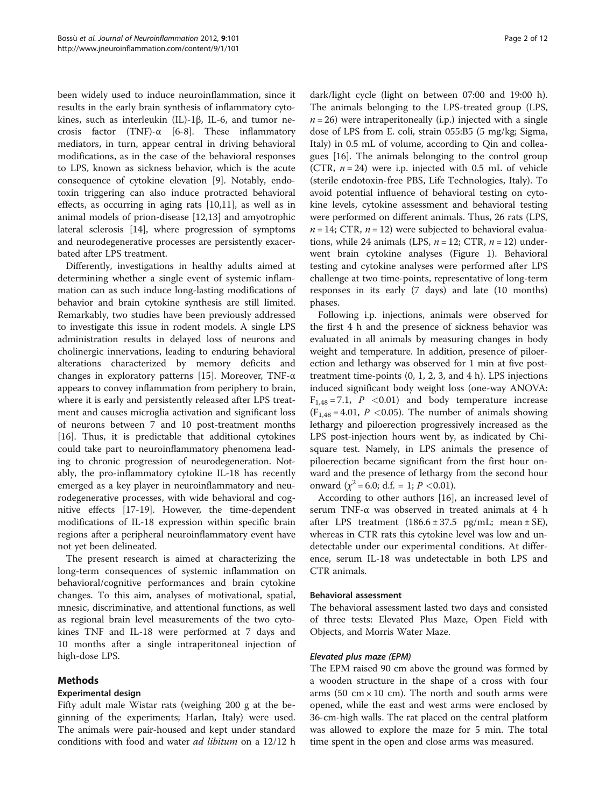been widely used to induce neuroinflammation, since it results in the early brain synthesis of inflammatory cytokines, such as interleukin (IL)-1β, IL-6, and tumor necrosis factor (TNF)- $\alpha$  [\[6](#page-10-0)-[8\]](#page-10-0). These inflammatory mediators, in turn, appear central in driving behavioral modifications, as in the case of the behavioral responses to LPS, known as sickness behavior, which is the acute consequence of cytokine elevation [[9\]](#page-10-0). Notably, endotoxin triggering can also induce protracted behavioral effects, as occurring in aging rats [[10,11\]](#page-10-0), as well as in animal models of prion-disease [\[12,13](#page-10-0)] and amyotrophic lateral sclerosis [[14](#page-10-0)], where progression of symptoms and neurodegenerative processes are persistently exacerbated after LPS treatment.

Differently, investigations in healthy adults aimed at determining whether a single event of systemic inflammation can as such induce long-lasting modifications of behavior and brain cytokine synthesis are still limited. Remarkably, two studies have been previously addressed to investigate this issue in rodent models. A single LPS administration results in delayed loss of neurons and cholinergic innervations, leading to enduring behavioral alterations characterized by memory deficits and changes in exploratory patterns [[15](#page-10-0)]. Moreover, TNF-α appears to convey inflammation from periphery to brain, where it is early and persistently released after LPS treatment and causes microglia activation and significant loss of neurons between 7 and 10 post-treatment months [[16\]](#page-10-0). Thus, it is predictable that additional cytokines could take part to neuroinflammatory phenomena leading to chronic progression of neurodegeneration. Notably, the pro-inflammatory cytokine IL-18 has recently emerged as a key player in neuroinflammatory and neurodegenerative processes, with wide behavioral and cognitive effects [[17-19\]](#page-10-0). However, the time-dependent modifications of IL-18 expression within specific brain regions after a peripheral neuroinflammatory event have not yet been delineated.

The present research is aimed at characterizing the long-term consequences of systemic inflammation on behavioral/cognitive performances and brain cytokine changes. To this aim, analyses of motivational, spatial, mnesic, discriminative, and attentional functions, as well as regional brain level measurements of the two cytokines TNF and IL-18 were performed at 7 days and 10 months after a single intraperitoneal injection of high-dose LPS.

# Methods

# Experimental design

Fifty adult male Wistar rats (weighing 200 g at the beginning of the experiments; Harlan, Italy) were used. The animals were pair-housed and kept under standard conditions with food and water ad libitum on a 12/12 h

dark/light cycle (light on between 07:00 and 19:00 h). The animals belonging to the LPS-treated group (LPS,  $n = 26$ ) were intraperitoneally (i.p.) injected with a single dose of LPS from E. coli, strain 055:B5 (5 mg/kg; Sigma, Italy) in 0.5 mL of volume, according to Qin and colleagues [[16](#page-10-0)]. The animals belonging to the control group (CTR,  $n = 24$ ) were i.p. injected with 0.5 mL of vehicle (sterile endotoxin-free PBS, Life Technologies, Italy). To avoid potential influence of behavioral testing on cytokine levels, cytokine assessment and behavioral testing were performed on different animals. Thus, 26 rats (LPS,  $n = 14$ ; CTR,  $n = 12$ ) were subjected to behavioral evaluations, while 24 animals (LPS,  $n = 12$ ; CTR,  $n = 12$ ) underwent brain cytokine analyses (Figure [1](#page-2-0)). Behavioral testing and cytokine analyses were performed after LPS challenge at two time-points, representative of long-term responses in its early (7 days) and late (10 months) phases.

Following i.p. injections, animals were observed for the first 4 h and the presence of sickness behavior was evaluated in all animals by measuring changes in body weight and temperature. In addition, presence of piloerection and lethargy was observed for 1 min at five posttreatment time-points (0, 1, 2, 3, and 4 h). LPS injections induced significant body weight loss (one-way ANOVA:  $F_{1,48} = 7.1$ ,  $P < 0.01$ ) and body temperature increase  $(F<sub>1.48</sub> = 4.01, P < 0.05)$ . The number of animals showing lethargy and piloerection progressively increased as the LPS post-injection hours went by, as indicated by Chisquare test. Namely, in LPS animals the presence of piloerection became significant from the first hour onward and the presence of lethargy from the second hour onward  $(\chi^2 = 6.0; d.f. = 1; P < 0.01)$ .

According to other authors [[16\]](#page-10-0), an increased level of serum TNF-α was observed in treated animals at 4 h after LPS treatment  $(186.6 \pm 37.5 \text{ pg/mL}$ ; mean  $\pm$  SE), whereas in CTR rats this cytokine level was low and undetectable under our experimental conditions. At difference, serum IL-18 was undetectable in both LPS and CTR animals.

# Behavioral assessment

The behavioral assessment lasted two days and consisted of three tests: Elevated Plus Maze, Open Field with Objects, and Morris Water Maze.

# Elevated plus maze (EPM)

The EPM raised 90 cm above the ground was formed by a wooden structure in the shape of a cross with four arms (50 cm  $\times$  10 cm). The north and south arms were opened, while the east and west arms were enclosed by 36-cm-high walls. The rat placed on the central platform was allowed to explore the maze for 5 min. The total time spent in the open and close arms was measured.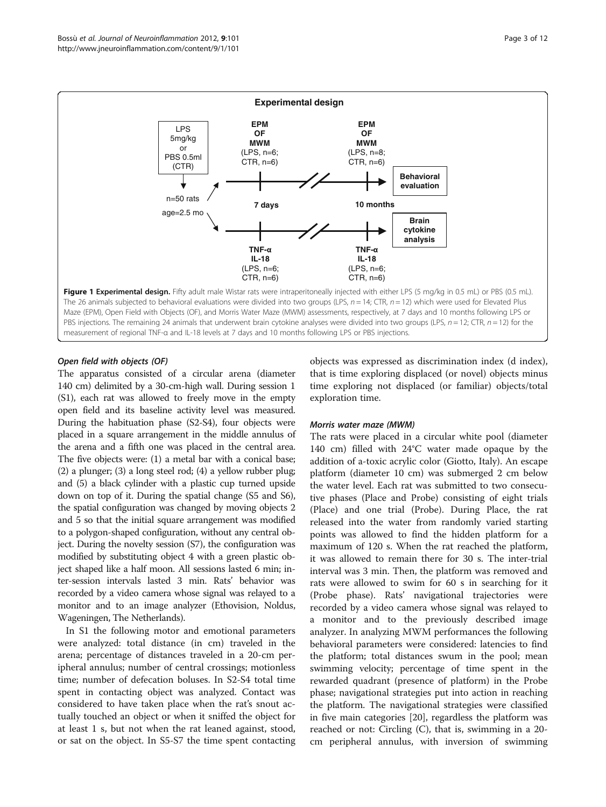<span id="page-2-0"></span>

## Open field with objects (OF)

The apparatus consisted of a circular arena (diameter 140 cm) delimited by a 30-cm-high wall. During session 1 (S1), each rat was allowed to freely move in the empty open field and its baseline activity level was measured. During the habituation phase (S2-S4), four objects were placed in a square arrangement in the middle annulus of the arena and a fifth one was placed in the central area. The five objects were: (1) a metal bar with a conical base; (2) a plunger; (3) a long steel rod; (4) a yellow rubber plug; and (5) a black cylinder with a plastic cup turned upside down on top of it. During the spatial change (S5 and S6), the spatial configuration was changed by moving objects 2 and 5 so that the initial square arrangement was modified to a polygon-shaped configuration, without any central object. During the novelty session (S7), the configuration was modified by substituting object 4 with a green plastic object shaped like a half moon. All sessions lasted 6 min; inter-session intervals lasted 3 min. Rats' behavior was recorded by a video camera whose signal was relayed to a monitor and to an image analyzer (Ethovision, Noldus, Wageningen, The Netherlands).

In S1 the following motor and emotional parameters were analyzed: total distance (in cm) traveled in the arena; percentage of distances traveled in a 20-cm peripheral annulus; number of central crossings; motionless time; number of defecation boluses. In S2-S4 total time spent in contacting object was analyzed. Contact was considered to have taken place when the rat's snout actually touched an object or when it sniffed the object for at least 1 s, but not when the rat leaned against, stood, or sat on the object. In S5-S7 the time spent contacting objects was expressed as discrimination index (d index), that is time exploring displaced (or novel) objects minus time exploring not displaced (or familiar) objects/total exploration time.

## Morris water maze (MWM)

The rats were placed in a circular white pool (diameter 140 cm) filled with 24°C water made opaque by the addition of a-toxic acrylic color (Giotto, Italy). An escape platform (diameter 10 cm) was submerged 2 cm below the water level. Each rat was submitted to two consecutive phases (Place and Probe) consisting of eight trials (Place) and one trial (Probe). During Place, the rat released into the water from randomly varied starting points was allowed to find the hidden platform for a maximum of 120 s. When the rat reached the platform, it was allowed to remain there for 30 s. The inter-trial interval was 3 min. Then, the platform was removed and rats were allowed to swim for 60 s in searching for it (Probe phase). Rats' navigational trajectories were recorded by a video camera whose signal was relayed to a monitor and to the previously described image analyzer. In analyzing MWM performances the following behavioral parameters were considered: latencies to find the platform; total distances swum in the pool; mean swimming velocity; percentage of time spent in the rewarded quadrant (presence of platform) in the Probe phase; navigational strategies put into action in reaching the platform. The navigational strategies were classified in five main categories [\[20](#page-10-0)], regardless the platform was reached or not: Circling (C), that is, swimming in a 20 cm peripheral annulus, with inversion of swimming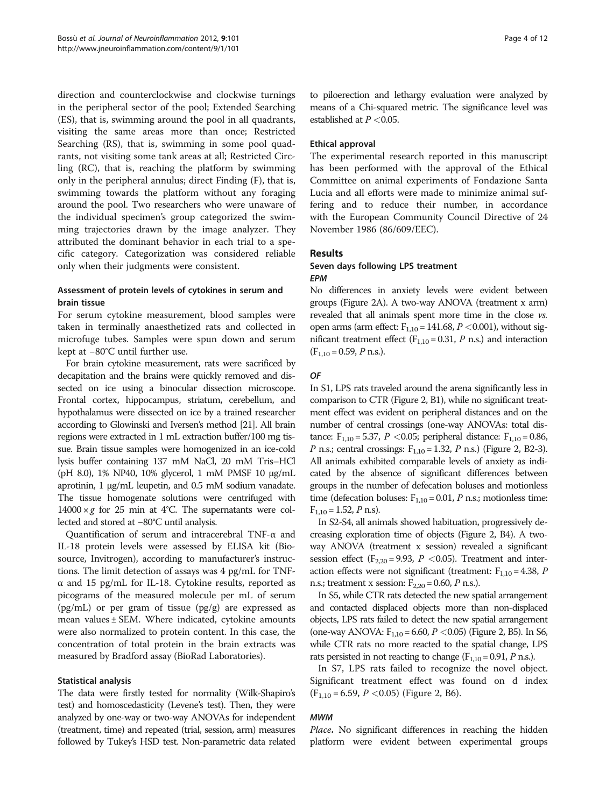direction and counterclockwise and clockwise turnings in the peripheral sector of the pool; Extended Searching (ES), that is, swimming around the pool in all quadrants, visiting the same areas more than once; Restricted Searching (RS), that is, swimming in some pool quadrants, not visiting some tank areas at all; Restricted Circling (RC), that is, reaching the platform by swimming only in the peripheral annulus; direct Finding (F), that is, swimming towards the platform without any foraging around the pool. Two researchers who were unaware of the individual specimen's group categorized the swimming trajectories drawn by the image analyzer. They attributed the dominant behavior in each trial to a specific category. Categorization was considered reliable only when their judgments were consistent.

# Assessment of protein levels of cytokines in serum and brain tissue

For serum cytokine measurement, blood samples were taken in terminally anaesthetized rats and collected in microfuge tubes. Samples were spun down and serum kept at −80°C until further use.

For brain cytokine measurement, rats were sacrificed by decapitation and the brains were quickly removed and dissected on ice using a binocular dissection microscope. Frontal cortex, hippocampus, striatum, cerebellum, and hypothalamus were dissected on ice by a trained researcher according to Glowinski and Iversen's method [[21](#page-10-0)]. All brain regions were extracted in 1 mL extraction buffer/100 mg tissue. Brain tissue samples were homogenized in an ice-cold lysis buffer containing 137 mM NaCl, 20 mM Tris–HCl (pH 8.0), 1% NP40, 10% glycerol, 1 mM PMSF 10 μg/mL aprotinin, 1 μg/mL leupetin, and 0.5 mM sodium vanadate. The tissue homogenate solutions were centrifuged with  $14000 \times g$  for 25 min at 4°C. The supernatants were collected and stored at −80°C until analysis.

Quantification of serum and intracerebral TNF-α and IL-18 protein levels were assessed by ELISA kit (Biosource, Invitrogen), according to manufacturer's instructions. The limit detection of assays was 4 pg/mL for TNFα and 15 pg/mL for IL-18. Cytokine results, reported as picograms of the measured molecule per mL of serum (pg/mL) or per gram of tissue (pg/g) are expressed as mean values ± SEM. Where indicated, cytokine amounts were also normalized to protein content. In this case, the concentration of total protein in the brain extracts was measured by Bradford assay (BioRad Laboratories).

# Statistical analysis

The data were firstly tested for normality (Wilk-Shapiro's test) and homoscedasticity (Levene's test). Then, they were analyzed by one-way or two-way ANOVAs for independent (treatment, time) and repeated (trial, session, arm) measures followed by Tukey's HSD test. Non-parametric data related

to piloerection and lethargy evaluation were analyzed by means of a Chi-squared metric. The significance level was established at  $P < 0.05$ .

# Ethical approval

The experimental research reported in this manuscript has been performed with the approval of the Ethical Committee on animal experiments of Fondazione Santa Lucia and all efforts were made to minimize animal suffering and to reduce their number, in accordance with the European Community Council Directive of 24 November 1986 (86/609/EEC).

# Results

## Seven days following LPS treatment EPM

No differences in anxiety levels were evident between groups (Figure [2A](#page-4-0)). A two-way ANOVA (treatment x arm) revealed that all animals spent more time in the close vs. open arms (arm effect:  $F_{1,10} = 141.68$ ,  $P < 0.001$ ), without significant treatment effect ( $F_{1,10} = 0.31$ , P n.s.) and interaction  $(F<sub>1,10</sub> = 0.59, P \text{ n.s.}).$ 

# OF

In S1, LPS rats traveled around the arena significantly less in comparison to CTR (Figure [2,](#page-4-0) B1), while no significant treatment effect was evident on peripheral distances and on the number of central crossings (one-way ANOVAs: total distance:  $F_{1,10} = 5.37$ ,  $P < 0.05$ ; peripheral distance:  $F_{1,10} = 0.86$ , P n.s.; central crossings:  $F_{1,10} = 1.32$ , P n.s.) (Figure [2](#page-4-0), B2-3). All animals exhibited comparable levels of anxiety as indicated by the absence of significant differences between groups in the number of defecation boluses and motionless time (defecation boluses:  $F_{1,10} = 0.01$ , *P* n.s.; motionless time:  $F_{1,10} = 1.52$ , *P* n.s).

In S2-S4, all animals showed habituation, progressively decreasing exploration time of objects (Figure [2,](#page-4-0) B4). A twoway ANOVA (treatment x session) revealed a significant session effect ( $F_{2,20}$  = 9.93,  $P$  < 0.05). Treatment and interaction effects were not significant (treatment:  $F_{1,10} = 4.38$ , P n.s.; treatment x session:  $F_{2,20} = 0.60$ , P n.s.).

In S5, while CTR rats detected the new spatial arrangement and contacted displaced objects more than non-displaced objects, LPS rats failed to detect the new spatial arrangement (one-way ANOVA:  $F_{1,10} = 6.60$ ,  $P < 0.05$ ) (Figure [2,](#page-4-0) B5). In S6, while CTR rats no more reacted to the spatial change, LPS rats persisted in not reacting to change  $(F_{1,10} = 0.91, P \text{ n.s.}).$ 

In S7, LPS rats failed to recognize the novel object. Significant treatment effect was found on d index  $(F_{1,10} = 6.59, P < 0.05)$  (Figure [2](#page-4-0), B6).

## MWM

Place. No significant differences in reaching the hidden platform were evident between experimental groups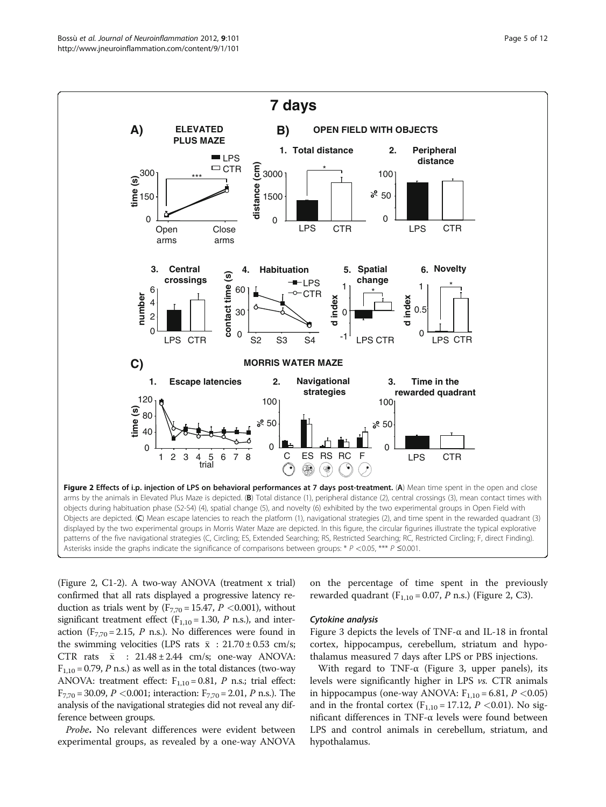<span id="page-4-0"></span>

(Figure 2, C1-2). A two-way ANOVA (treatment x trial) confirmed that all rats displayed a progressive latency reduction as trials went by  $(F_{7,70} = 15.47, P < 0.001)$ , without significant treatment effect ( $F_{1,10} = 1.30$ , P n.s.), and interaction ( $F_{7,70}$  = 2.15, P n.s.). No differences were found in the swimming velocities (LPS rats  $\bar{x}$  : 21.70 ± 0.53 cm/s; CTR rats  $\bar{x}$  : 21.48 ± 2.44 cm/s; one-way ANOVA:  $F_{1,10} = 0.79$ , P n.s.) as well as in the total distances (two-way ANOVA: treatment effect:  $F_{1,10} = 0.81$ , *P* n.s.; trial effect:  $F_{7,70} = 30.09$ ,  $P < 0.001$ ; interaction:  $F_{7,70} = 2.01$ ,  $P$  n.s.). The analysis of the navigational strategies did not reveal any difference between groups.

Probe. No relevant differences were evident between experimental groups, as revealed by a one-way ANOVA on the percentage of time spent in the previously rewarded quadrant  $(F_{1,10} = 0.07, P \text{ n.s.})$  (Figure 2, C3).

## Cytokine analysis

Figure [3](#page-5-0) depicts the levels of TNF- $\alpha$  and IL-18 in frontal cortex, hippocampus, cerebellum, striatum and hypothalamus measured 7 days after LPS or PBS injections.

With regard to TNF- $\alpha$  (Figure [3](#page-5-0), upper panels), its levels were significantly higher in LPS vs. CTR animals in hippocampus (one-way ANOVA:  $F_{1,10} = 6.81$ ,  $P < 0.05$ ) and in the frontal cortex  $(F_{1,10} = 17.12, P < 0.01)$ . No significant differences in TNF-α levels were found between LPS and control animals in cerebellum, striatum, and hypothalamus.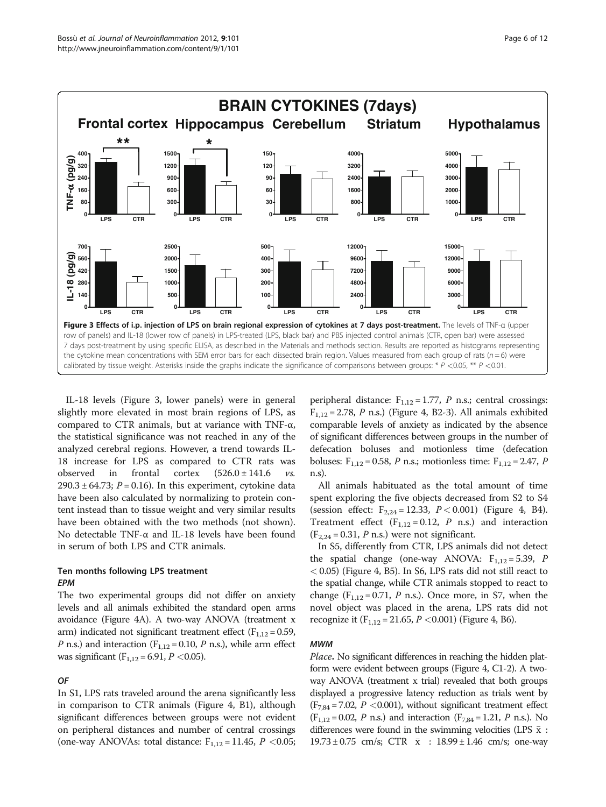<span id="page-5-0"></span>

IL-18 levels (Figure 3, lower panels) were in general slightly more elevated in most brain regions of LPS, as compared to CTR animals, but at variance with TNF-α, the statistical significance was not reached in any of the analyzed cerebral regions. However, a trend towards IL-18 increase for LPS as compared to CTR rats was observed in frontal cortex  $(526.0 \pm 141.6 \text{ vs.}$ 290.3  $\pm$  64.73; P = 0.16). In this experiment, cytokine data have been also calculated by normalizing to protein content instead than to tissue weight and very similar results have been obtained with the two methods (not shown). No detectable TNF-α and IL-18 levels have been found in serum of both LPS and CTR animals.

# Ten months following LPS treatment EPM

The two experimental groups did not differ on anxiety levels and all animals exhibited the standard open arms avoidance (Figure [4A](#page-6-0)). A two-way ANOVA (treatment x arm) indicated not significant treatment effect ( $F_{1,12} = 0.59$ , *P* n.s.) and interaction ( $F_{1,12}$  = 0.10, *P* n.s.), while arm effect was significant ( $F_{1,12}$  = 6.91, *P* < 0.05).

# OF

In S1, LPS rats traveled around the arena significantly less in comparison to CTR animals (Figure [4,](#page-6-0) B1), although significant differences between groups were not evident on peripheral distances and number of central crossings (one-way ANOVAs: total distance:  $F_{1,12} = 11.45$ ,  $P < 0.05$ ;

peripheral distance:  $F_{1,12} = 1.77$ , *P* n.s.; central crossings:  $F_{1,12} = 2.78$ , P n.s.) (Figure [4,](#page-6-0) B2-3). All animals exhibited comparable levels of anxiety as indicated by the absence of significant differences between groups in the number of defecation boluses and motionless time (defecation boluses:  $F_{1,12} = 0.58$ , *P* n.s.; motionless time:  $F_{1,12} = 2.47$ , *P* n.s).

All animals habituated as the total amount of time spent exploring the five objects decreased from S2 to S4 (session effect:  $F_{2,24} = 12.33$ ,  $P < 0.001$ ) (Figure [4,](#page-6-0) B4). Treatment effect  $(F_{1,12} = 0.12, P \text{ n.s.})$  and interaction  $(F_{2,24} = 0.31, P \text{ n.s.})$  were not significant.

In S5, differently from CTR, LPS animals did not detect the spatial change (one-way ANOVA:  $F_{1,12} = 5.39$ , *P* < 0.05) (Figure [4](#page-6-0), B5). In S6, LPS rats did not still react to the spatial change, while CTR animals stopped to react to change  $(F_{1,12} = 0.71, P \text{ n.s.})$ . Once more, in S7, when the novel object was placed in the arena, LPS rats did not recognize it  $(F_{1,12} = 21.65, P < 0.001)$  (Figure [4](#page-6-0), B6).

## MWM

Place. No significant differences in reaching the hidden platform were evident between groups (Figure [4,](#page-6-0) C1-2). A twoway ANOVA (treatment x trial) revealed that both groups displayed a progressive latency reduction as trials went by  $(F_{7,84} = 7.02, P < 0.001)$ , without significant treatment effect  $(F_{1,12} = 0.02, P \text{ n.s.})$  and interaction  $(F_{7,84} = 1.21, P \text{ n.s.})$ . No differences were found in the swimming velocities (LPS  $\bar{x}$  :  $19.73 \pm 0.75$  cm/s; CTR  $\bar{x}$  :  $18.99 \pm 1.46$  cm/s; one-way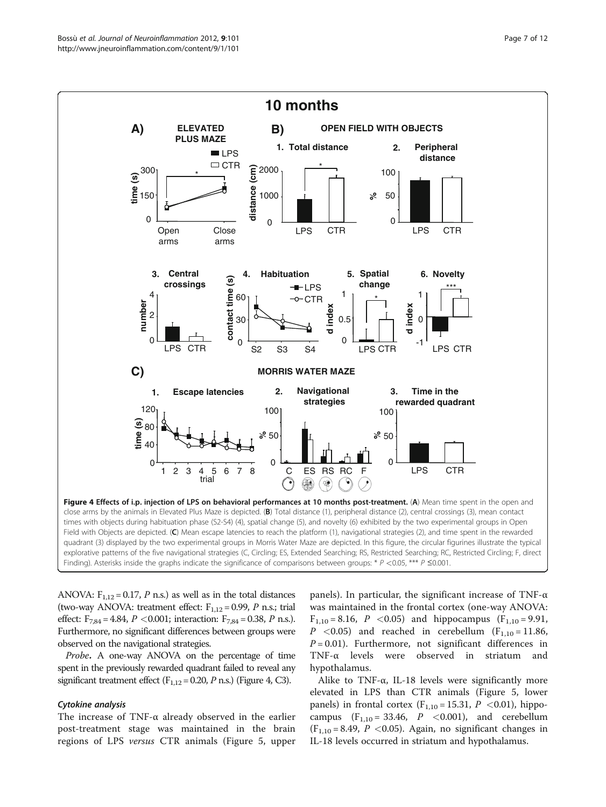<span id="page-6-0"></span>

ANOVA:  $F_{1,12} = 0.17$ , P n.s.) as well as in the total distances (two-way ANOVA: treatment effect:  $F_{1,12} = 0.99$ , P n.s.; trial effect:  $F_{7,84} = 4.84$ ,  $P < 0.001$ ; interaction:  $F_{7,84} = 0.38$ ,  $P$  n.s.). Furthermore, no significant differences between groups were observed on the navigational strategies.

Probe. A one-way ANOVA on the percentage of time spent in the previously rewarded quadrant failed to reveal any significant treatment effect ( $F_{1,12}$  = 0.20, P n.s.) (Figure 4, C3).

## Cytokine analysis

The increase of TNF-α already observed in the earlier post-treatment stage was maintained in the brain regions of LPS versus CTR animals (Figure [5,](#page-7-0) upper

panels). In particular, the significant increase of TNF-α was maintained in the frontal cortex (one-way ANOVA:  $F_{1,10} = 8.16$ ,  $P < 0.05$ ) and hippocampus ( $F_{1,10} = 9.91$ ,  $P \leq 0.05$ ) and reached in cerebellum (F<sub>1,10</sub> = 11.86,  $P = 0.01$ ). Furthermore, not significant differences in TNF-α levels were observed in striatum and hypothalamus.

Alike to TNF- $\alpha$ , IL-18 levels were significantly more elevated in LPS than CTR animals (Figure [5,](#page-7-0) lower panels) in frontal cortex  $(F_{1,10} = 15.31, P < 0.01)$ , hippocampus  $(F_{1,10} = 33.46, P \leq 0.001)$ , and cerebellum  $(F_{1,10} = 8.49, P < 0.05)$ . Again, no significant changes in IL-18 levels occurred in striatum and hypothalamus.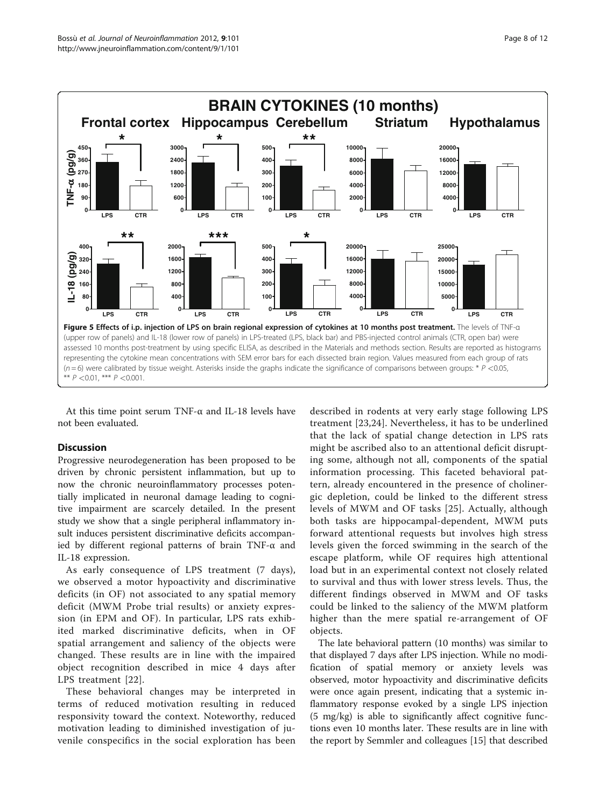<span id="page-7-0"></span>

At this time point serum TNF-α and IL-18 levels have not been evaluated.

# Discussion

Progressive neurodegeneration has been proposed to be driven by chronic persistent inflammation, but up to now the chronic neuroinflammatory processes potentially implicated in neuronal damage leading to cognitive impairment are scarcely detailed. In the present study we show that a single peripheral inflammatory insult induces persistent discriminative deficits accompanied by different regional patterns of brain TNF-α and IL-18 expression.

As early consequence of LPS treatment (7 days), we observed a motor hypoactivity and discriminative deficits (in OF) not associated to any spatial memory deficit (MWM Probe trial results) or anxiety expression (in EPM and OF). In particular, LPS rats exhibited marked discriminative deficits, when in OF spatial arrangement and saliency of the objects were changed. These results are in line with the impaired object recognition described in mice 4 days after LPS treatment [[22](#page-10-0)].

These behavioral changes may be interpreted in terms of reduced motivation resulting in reduced responsivity toward the context. Noteworthy, reduced motivation leading to diminished investigation of juvenile conspecifics in the social exploration has been

described in rodents at very early stage following LPS treatment [\[23,24](#page-10-0)]. Nevertheless, it has to be underlined that the lack of spatial change detection in LPS rats might be ascribed also to an attentional deficit disrupting some, although not all, components of the spatial information processing. This faceted behavioral pattern, already encountered in the presence of cholinergic depletion, could be linked to the different stress levels of MWM and OF tasks [[25\]](#page-10-0). Actually, although both tasks are hippocampal-dependent, MWM puts forward attentional requests but involves high stress levels given the forced swimming in the search of the escape platform, while OF requires high attentional load but in an experimental context not closely related to survival and thus with lower stress levels. Thus, the different findings observed in MWM and OF tasks could be linked to the saliency of the MWM platform higher than the mere spatial re-arrangement of OF objects.

The late behavioral pattern (10 months) was similar to that displayed 7 days after LPS injection. While no modification of spatial memory or anxiety levels was observed, motor hypoactivity and discriminative deficits were once again present, indicating that a systemic inflammatory response evoked by a single LPS injection (5 mg/kg) is able to significantly affect cognitive functions even 10 months later. These results are in line with the report by Semmler and colleagues [\[15](#page-10-0)] that described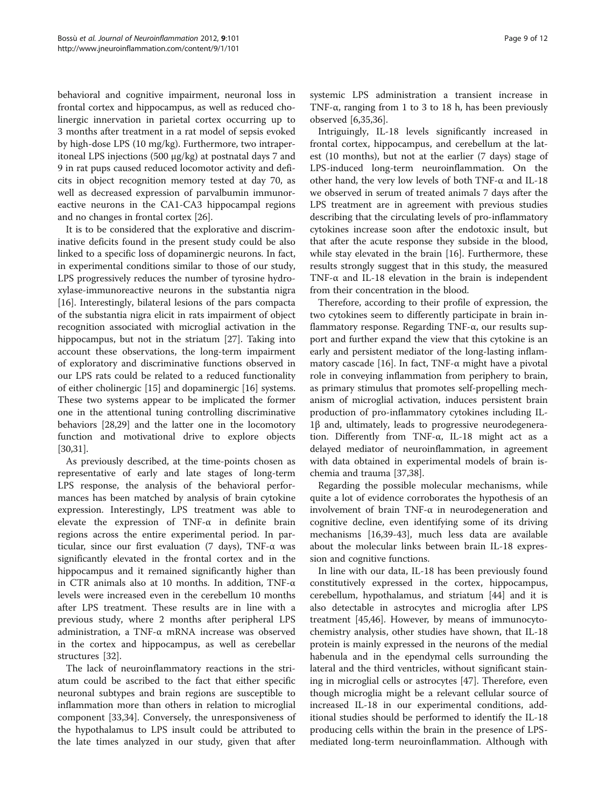behavioral and cognitive impairment, neuronal loss in frontal cortex and hippocampus, as well as reduced cholinergic innervation in parietal cortex occurring up to 3 months after treatment in a rat model of sepsis evoked by high-dose LPS (10 mg/kg). Furthermore, two intraperitoneal LPS injections (500 μg/kg) at postnatal days 7 and 9 in rat pups caused reduced locomotor activity and deficits in object recognition memory tested at day 70, as well as decreased expression of parvalbumin immunoreactive neurons in the CA1-CA3 hippocampal regions and no changes in frontal cortex [\[26\]](#page-10-0).

It is to be considered that the explorative and discriminative deficits found in the present study could be also linked to a specific loss of dopaminergic neurons. In fact, in experimental conditions similar to those of our study, LPS progressively reduces the number of tyrosine hydroxylase-immunoreactive neurons in the substantia nigra [[16\]](#page-10-0). Interestingly, bilateral lesions of the pars compacta of the substantia nigra elicit in rats impairment of object recognition associated with microglial activation in the hippocampus, but not in the striatum [\[27](#page-10-0)]. Taking into account these observations, the long-term impairment of exploratory and discriminative functions observed in our LPS rats could be related to a reduced functionality of either cholinergic [\[15](#page-10-0)] and dopaminergic [[16\]](#page-10-0) systems. These two systems appear to be implicated the former one in the attentional tuning controlling discriminative behaviors [\[28,29\]](#page-10-0) and the latter one in the locomotory function and motivational drive to explore objects [[30,31\]](#page-10-0).

As previously described, at the time-points chosen as representative of early and late stages of long-term LPS response, the analysis of the behavioral performances has been matched by analysis of brain cytokine expression. Interestingly, LPS treatment was able to elevate the expression of TNF-α in definite brain regions across the entire experimental period. In particular, since our first evaluation (7 days),  $TNF-\alpha$  was significantly elevated in the frontal cortex and in the hippocampus and it remained significantly higher than in CTR animals also at 10 months. In addition, TNF-α levels were increased even in the cerebellum 10 months after LPS treatment. These results are in line with a previous study, where 2 months after peripheral LPS administration, a TNF-α mRNA increase was observed in the cortex and hippocampus, as well as cerebellar structures [\[32](#page-10-0)].

The lack of neuroinflammatory reactions in the striatum could be ascribed to the fact that either specific neuronal subtypes and brain regions are susceptible to inflammation more than others in relation to microglial component [[33,34\]](#page-10-0). Conversely, the unresponsiveness of the hypothalamus to LPS insult could be attributed to the late times analyzed in our study, given that after

systemic LPS administration a transient increase in TNF-α, ranging from 1 to 3 to 18 h, has been previously observed [\[6,35,36](#page-10-0)].

Intriguingly, IL-18 levels significantly increased in frontal cortex, hippocampus, and cerebellum at the latest (10 months), but not at the earlier (7 days) stage of LPS-induced long-term neuroinflammation. On the other hand, the very low levels of both TNF-α and IL-18 we observed in serum of treated animals 7 days after the LPS treatment are in agreement with previous studies describing that the circulating levels of pro-inflammatory cytokines increase soon after the endotoxic insult, but that after the acute response they subside in the blood, while stay elevated in the brain [\[16](#page-10-0)]. Furthermore, these results strongly suggest that in this study, the measured TNF- $\alpha$  and IL-18 elevation in the brain is independent from their concentration in the blood.

Therefore, according to their profile of expression, the two cytokines seem to differently participate in brain inflammatory response. Regarding TNF-α, our results support and further expand the view that this cytokine is an early and persistent mediator of the long-lasting inflam-matory cascade [\[16\]](#page-10-0). In fact, TNF- $\alpha$  might have a pivotal role in conveying inflammation from periphery to brain, as primary stimulus that promotes self-propelling mechanism of microglial activation, induces persistent brain production of pro-inflammatory cytokines including IL-1β and, ultimately, leads to progressive neurodegeneration. Differently from TNF-α, IL-18 might act as a delayed mediator of neuroinflammation, in agreement with data obtained in experimental models of brain ischemia and trauma [\[37,38\]](#page-10-0).

Regarding the possible molecular mechanisms, while quite a lot of evidence corroborates the hypothesis of an involvement of brain TNF-α in neurodegeneration and cognitive decline, even identifying some of its driving mechanisms [[16](#page-10-0),[39](#page-10-0)-[43\]](#page-10-0), much less data are available about the molecular links between brain IL-18 expression and cognitive functions.

In line with our data, IL-18 has been previously found constitutively expressed in the cortex, hippocampus, cerebellum, hypothalamus, and striatum [[44](#page-11-0)] and it is also detectable in astrocytes and microglia after LPS treatment [\[45,46](#page-11-0)]. However, by means of immunocytochemistry analysis, other studies have shown, that IL-18 protein is mainly expressed in the neurons of the medial habenula and in the ependymal cells surrounding the lateral and the third ventricles, without significant staining in microglial cells or astrocytes [[47\]](#page-11-0). Therefore, even though microglia might be a relevant cellular source of increased IL-18 in our experimental conditions, additional studies should be performed to identify the IL-18 producing cells within the brain in the presence of LPSmediated long-term neuroinflammation. Although with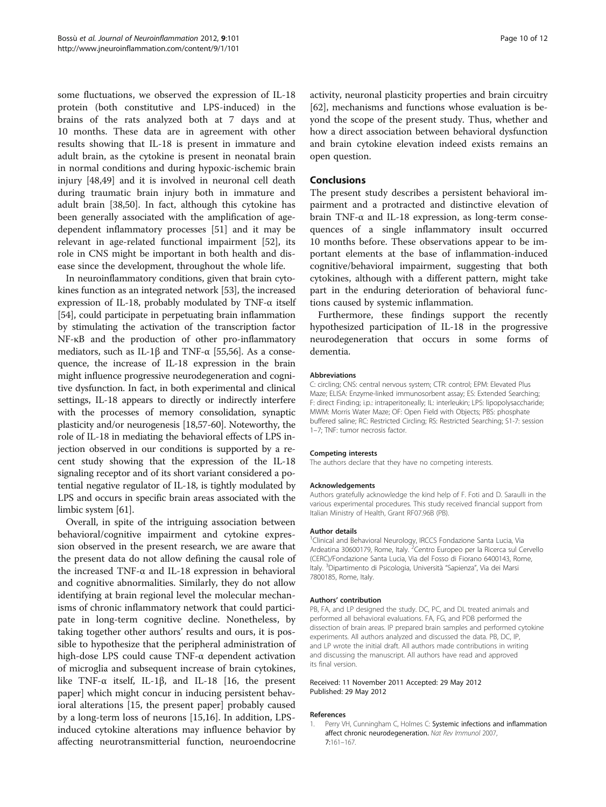<span id="page-9-0"></span>some fluctuations, we observed the expression of IL-18 protein (both constitutive and LPS-induced) in the brains of the rats analyzed both at 7 days and at 10 months. These data are in agreement with other results showing that IL-18 is present in immature and adult brain, as the cytokine is present in neonatal brain in normal conditions and during hypoxic-ischemic brain injury [\[48,49\]](#page-11-0) and it is involved in neuronal cell death during traumatic brain injury both in immature and adult brain [[38,](#page-10-0)[50\]](#page-11-0). In fact, although this cytokine has been generally associated with the amplification of agedependent inflammatory processes [[51\]](#page-11-0) and it may be relevant in age-related functional impairment [[52](#page-11-0)], its role in CNS might be important in both health and disease since the development, throughout the whole life.

In neuroinflammatory conditions, given that brain cytokines function as an integrated network [\[53](#page-11-0)], the increased expression of IL-18, probably modulated by TNF-α itself [[54](#page-11-0)], could participate in perpetuating brain inflammation by stimulating the activation of the transcription factor NF-κB and the production of other pro-inflammatory mediators, such as IL-1 $\beta$  and TNF- $\alpha$  [[55](#page-11-0),[56](#page-11-0)]. As a consequence, the increase of IL-18 expression in the brain might influence progressive neurodegeneration and cognitive dysfunction. In fact, in both experimental and clinical settings, IL-18 appears to directly or indirectly interfere with the processes of memory consolidation, synaptic plasticity and/or neurogenesis [[18](#page-10-0)[,57-60](#page-11-0)]. Noteworthy, the role of IL-18 in mediating the behavioral effects of LPS injection observed in our conditions is supported by a recent study showing that the expression of the IL-18 signaling receptor and of its short variant considered a potential negative regulator of IL-18, is tightly modulated by LPS and occurs in specific brain areas associated with the limbic system [\[61\]](#page-11-0).

Overall, in spite of the intriguing association between behavioral/cognitive impairment and cytokine expression observed in the present research, we are aware that the present data do not allow defining the causal role of the increased TNF-α and IL-18 expression in behavioral and cognitive abnormalities. Similarly, they do not allow identifying at brain regional level the molecular mechanisms of chronic inflammatory network that could participate in long-term cognitive decline. Nonetheless, by taking together other authors' results and ours, it is possible to hypothesize that the peripheral administration of high-dose LPS could cause TNF-α dependent activation of microglia and subsequent increase of brain cytokines, like TNF-α itself, IL-1β, and IL-18 [\[16,](#page-10-0) the present paper] which might concur in inducing persistent behavioral alterations [\[15,](#page-10-0) the present paper] probably caused by a long-term loss of neurons [[15,16](#page-10-0)]. In addition, LPSinduced cytokine alterations may influence behavior by affecting neurotransmitterial function, neuroendocrine

activity, neuronal plasticity properties and brain circuitry [[62\]](#page-11-0), mechanisms and functions whose evaluation is beyond the scope of the present study. Thus, whether and how a direct association between behavioral dysfunction and brain cytokine elevation indeed exists remains an open question.

# **Conclusions**

The present study describes a persistent behavioral impairment and a protracted and distinctive elevation of brain TNF-α and IL-18 expression, as long-term consequences of a single inflammatory insult occurred 10 months before. These observations appear to be important elements at the base of inflammation-induced cognitive/behavioral impairment, suggesting that both cytokines, although with a different pattern, might take part in the enduring deterioration of behavioral functions caused by systemic inflammation.

Furthermore, these findings support the recently hypothesized participation of IL-18 in the progressive neurodegeneration that occurs in some forms of dementia.

## Abbreviations

C: circling; CNS: central nervous system; CTR: control; EPM: Elevated Plus Maze; ELISA: Enzyme-linked immunosorbent assay; ES: Extended Searching; F: direct Finding; i.p.: intraperitoneally; IL: interleukin; LPS: lipopolysaccharide; MWM: Morris Water Maze; OF: Open Field with Objects; PBS: phosphate buffered saline; RC: Restricted Circling; RS: Restricted Searching; S1-7: session 1–7; TNF: tumor necrosis factor.

#### Competing interests

The authors declare that they have no competing interests.

### Acknowledgements

Authors gratefully acknowledge the kind help of F. Foti and D. Saraulli in the various experimental procedures. This study received financial support from Italian Ministry of Health, Grant RF07.96B (PB).

#### Author details

<sup>1</sup> Clinical and Behavioral Neurology, IRCCS Fondazione Santa Lucia, Via Ardeatina 30600179, Rome, Italy. <sup>2</sup> Centro Europeo per la Ricerca sul Cervello (CERC)/Fondazione Santa Lucia, Via del Fosso di Fiorano 6400143, Rome, Italy. <sup>3</sup>Dipartimento di Psicologia, Università "Sapienza", Via dei Marsi 7800185, Rome, Italy.

## Authors' contribution

PB, FA, and LP designed the study. DC, PC, and DL treated animals and performed all behavioral evaluations. FA, FG, and PDB performed the dissection of brain areas. IP prepared brain samples and performed cytokine experiments. All authors analyzed and discussed the data. PB, DC, IP, and LP wrote the initial draft. All authors made contributions in writing and discussing the manuscript. All authors have read and approved its final version.

## Received: 11 November 2011 Accepted: 29 May 2012 Published: 29 May 2012

### References

1. Perry VH, Cunningham C, Holmes C: Systemic infections and inflammation affect chronic neurodegeneration. Nat Rev Immunol 2007, 7:161–167.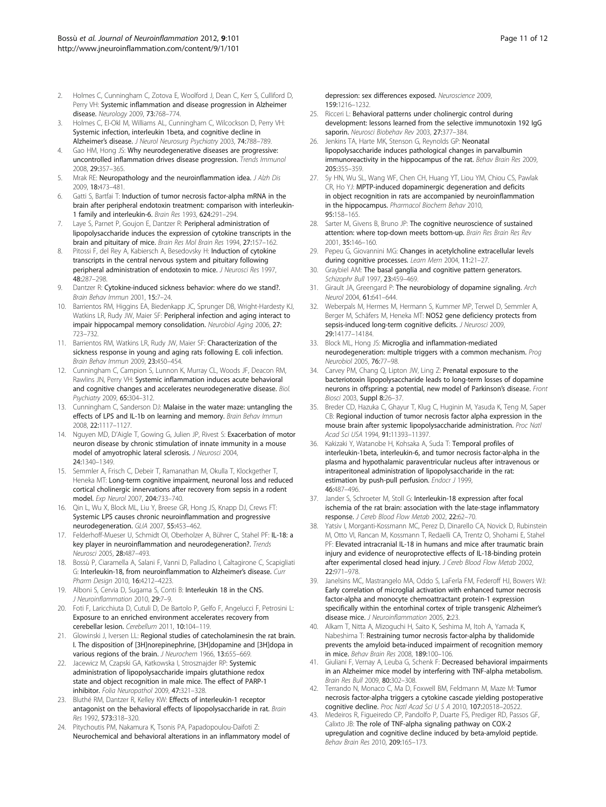- <span id="page-10-0"></span>2. Holmes C, Cunningham C, Zotova E, Woolford J, Dean C, Kerr S, Culliford D, Perry VH: Systemic inflammation and disease progression in Alzheimer disease. Neurology 2009, 73:768–774.
- 3. Holmes C, El-Okl M, Williams AL, Cunningham C, Wilcockson D, Perry VH: Systemic infection, interleukin 1beta, and cognitive decline in Alzheimer's disease. J Neurol Neurosurg Psychiatry 2003, 74:788–789.
- 4. Gao HM, Hong JS: Why neurodegenerative diseases are progressive: uncontrolled inflammation drives disease progression. Trends Immunol 2008, 29:357–365.
- Mrak RE: Neuropathology and the neuroinflammation idea. J Alzh Dis 2009, 18:473–481.
- 6. Gatti S, Bartfai T: Induction of tumor necrosis factor-alpha mRNA in the brain after peripheral endotoxin treatment: comparison with interleukin-1 family and interleukin-6. Brain Res 1993, 624:291–294.
- 7. Laye S, Parnet P, Goujon E, Dantzer R: Peripheral administration of lipopolysaccharide induces the expression of cytokine transcripts in the brain and pituitary of mice. Brain Res Mol Brain Res 1994, 27:157–162.
- Pitossi F, del Rey A, Kabiersch A, Besedovsky H: Induction of cytokine transcripts in the central nervous system and pituitary following peripheral administration of endotoxin to mice. J Neurosci Res 1997, 48:287–298.
- Dantzer R: Cytokine-induced sickness behavior: where do we stand?. Brain Behav Immun 2001, 15:7–24.
- 10. Barrientos RM, Higgins EA, Biedenkapp JC, Sprunger DB, Wright-Hardesty KJ, Watkins LR, Rudy JW, Maier SF: Peripheral infection and aging interact to impair hippocampal memory consolidation. Neurobiol Aging 2006, 27: 723–732.
- 11. Barrientos RM, Watkins LR, Rudy JW, Maier SF: Characterization of the sickness response in young and aging rats following E. coli infection. Brain Behav Immun 2009, 23:450–454.
- 12. Cunningham C, Campion S, Lunnon K, Murray CL, Woods JF, Deacon RM, Rawlins JN, Perry VH: Systemic inflammation induces acute behavioral and cognitive changes and accelerates neurodegenerative disease. Biol. Psychiatry 2009, 65:304–312.
- 13. Cunningham C, Sanderson DJ: Malaise in the water maze: untangling the effects of LPS and IL-1b on learning and memory. Brain Behav Immun 2008, 22:1117–1127.
- 14. Nguyen MD, D'Aigle T, Gowing G, Julien JP, Rivest S: Exacerbation of motor neuron disease by chronic stimulation of innate immunity in a mouse model of amyotrophic lateral sclerosis. J Neurosci 2004, 24:1340–1349.
- 15. Semmler A, Frisch C, Debeir T, Ramanathan M, Okulla T, Klockgether T, Heneka MT: Long-term cognitive impairment, neuronal loss and reduced cortical cholinergic innervations after recovery from sepsis in a rodent model. Exp Neurol 2007, 204:733–740.
- 16. Qin L, Wu X, Block ML, Liu Y, Breese GR, Hong JS, Knapp DJ, Crews FT: Systemic LPS causes chronic neuroinflammation and progressive neurodegeneration. GLIA 2007, 55:453–462.
- 17. Felderhoff-Mueser U, Schmidt OI, Oberholzer A, Bührer C, Stahel PF: IL-18: a key player in neuroinflammation and neurodegeneration?. Trends Neurosci 2005, 28:487–493.
- 18. Bossù P, Ciaramella A, Salani F, Vanni D, Palladino I, Caltagirone C, Scapigliati G: Interleukin-18, from neuroinflammation to Alzheimer's disease. Curr Pharm Design 2010, 16:4212–4223.
- 19. Alboni S, Cervia D, Sugama S, Conti B: Interleukin 18 in the CNS. J Neuroinflammation 2010, 29:7–9.
- 20. Foti F, Laricchiuta D, Cutuli D, De Bartolo P, Gelfo F, Angelucci F, Petrosini L: Exposure to an enriched environment accelerates recovery from cerebellar lesion. Cerebellum 2011, 10:104–119.
- 21. Glowinski J, Iversen LL: Regional studies of catecholaminesin the rat brain. I. The disposition of [3H]norepinephrine, [3H]dopamine and [3H]dopa in various regions of the brain. J Neurochem 1966, 13:655-669.
- 22. Jacewicz M, Czapski GA, Katkowska I, Strosznajder RP: Systemic administration of lipopolysaccharide impairs glutathione redox state and object recognition in male mice. The effect of PARP-1 inhibitor. Folia Neuropathol 2009, 47:321–328.
- 23. Bluthé RM, Dantzer R, Kelley KW: Effects of interleukin-1 receptor antagonist on the behavioral effects of lipopolysaccharide in rat. Brain Res 1992, 573:318–320.
- 24. Pitychoutis PM, Nakamura K, Tsonis PA, Papadopoulou-Daifoti Z: Neurochemical and behavioral alterations in an inflammatory model of

depression: sex differences exposed. Neuroscience 2009, 159:1216–1232.

- 25. Ricceri L: Behavioral patterns under cholinergic control during development: lessons learned from the selective immunotoxin 192 IgG saporin. Neurosci Biobehav Rev 2003, 27:377–384.
- 26. Jenkins TA, Harte MK, Stenson G, Reynolds GP: Neonatal lipopolysaccharide induces pathological changes in parvalbumin immunoreactivity in the hippocampus of the rat. Behav Brain Res 2009, 205:355–359.
- 27. Sy HN, Wu SL, Wang WF, Chen CH, Huang YT, Liou YM, Chiou CS, Pawlak CR, Ho YJ: MPTP-induced dopaminergic degeneration and deficits in object recognition in rats are accompanied by neuroinflammation in the hippocampus. Pharmacol Biochem Behav 2010, 95:158–165.
- 28. Sarter M, Givens B, Bruno JP: The cognitive neuroscience of sustained attention: where top-down meets bottom-up. Brain Res Brain Res Rev 2001, 35:146–160.
- 29. Pepeu G, Giovannini MG: Changes in acetylcholine extracellular levels during cognitive processes. Learn Mem 2004, 11:21–27.
- 30. Graybiel AM: The basal ganglia and cognitive pattern generators. Schizophr Bull 1997, 23:459–469.
- 31. Girault JA, Greengard P: The neurobiology of dopamine signaling. Arch Neurol 2004, 61:641–644.
- 32. Weberpals M, Hermes M, Hermann S, Kummer MP, Terwel D, Semmler A, Berger M, Schäfers M, Heneka MT: NOS2 gene deficiency protects from sepsis-induced long-term cognitive deficits. J Neurosci 2009, 29:14177–14184.
- 33. Block ML, Hong JS: Microglia and inflammation-mediated neurodegeneration: multiple triggers with a common mechanism. Prog Neurobiol 2005, 76:77–98.
- 34. Carvey PM, Chang Q, Lipton JW, Ling Z: Prenatal exposure to the bacteriotoxin lipopolysaccharide leads to long-term losses of dopamine neurons in offspring: a potential, new model of Parkinson's disease. Front Biosci 2003, **Suppl 8:**26-37.
- 35. Breder CD, Hazuka C, Ghayur T, Klug C, Huginin M, Yasuda K, Teng M, Saper CB: Regional induction of tumor necrosis factor alpha expression in the mouse brain after systemic lipopolysaccharide administration. Proc Natl Acad Sci USA 1994, 91:11393–11397.
- 36. Kakizaki Y, Watanobe H, Kohsaka A, Suda T: Temporal profiles of interleukin-1beta, interleukin-6, and tumor necrosis factor-alpha in the plasma and hypothalamic paraventricular nucleus after intravenous or intraperitoneal administration of lipopolysaccharide in the rat: estimation by push-pull perfusion. Endocr J 1999, 46:487–496.
- 37. Jander S, Schroeter M, Stoll G: Interleukin-18 expression after focal ischemia of the rat brain: association with the late-stage inflammatory response. J Cereb Blood Flow Metab 2002, 22:62–70.
- 38. Yatsiv I, Morganti-Kossmann MC, Perez D, Dinarello CA, Novick D, Rubinstein M, Otto VI, Rancan M, Kossmann T, Redaelli CA, Trentz O, Shohami E, Stahel PF: Elevated intracranial IL-18 in humans and mice after traumatic brain injury and evidence of neuroprotective effects of IL-18-binding protein after experimental closed head injury. J Cereb Blood Flow Metab 2002, 22:971–978.
- 39. Janelsins MC, Mastrangelo MA, Oddo S, LaFerla FM, Federoff HJ, Bowers WJ: Early correlation of microglial activation with enhanced tumor necrosis factor-alpha and monocyte chemoattractant protein-1 expression specifically within the entorhinal cortex of triple transgenic Alzheimer's disease mice. J Neuroinflammation 2005, 2:23.
- 40. Alkam T, Nitta A, Mizoguchi H, Saito K, Seshima M, Itoh A, Yamada K, Nabeshima T: Restraining tumor necrosis factor-alpha by thalidomide prevents the amyloid beta-induced impairment of recognition memory in mice. Behav Brain Res 2008, 189:100–106.
- 41. Giuliani F, Vernay A, Leuba G, Schenk F: Decreased behavioral impairments in an Alzheimer mice model by interfering with TNF-alpha metabolism. Brain Res Bull 2009, 80:302–308.
- 42. Terrando N, Monaco C, Ma D, Foxwell BM, Feldmann M, Maze M: Tumor necrosis factor-alpha triggers a cytokine cascade yielding postoperative cognitive decline. Proc Natl Acad Sci U S A 2010, 107:20518–20522.
- 43. Medeiros R, Figueiredo CP, Pandolfo P, Duarte FS, Prediger RD, Passos GF, Calixto JB: The role of TNF-alpha signaling pathway on COX-2 upregulation and cognitive decline induced by beta-amyloid peptide. Behav Brain Res 2010, 209:165–173.